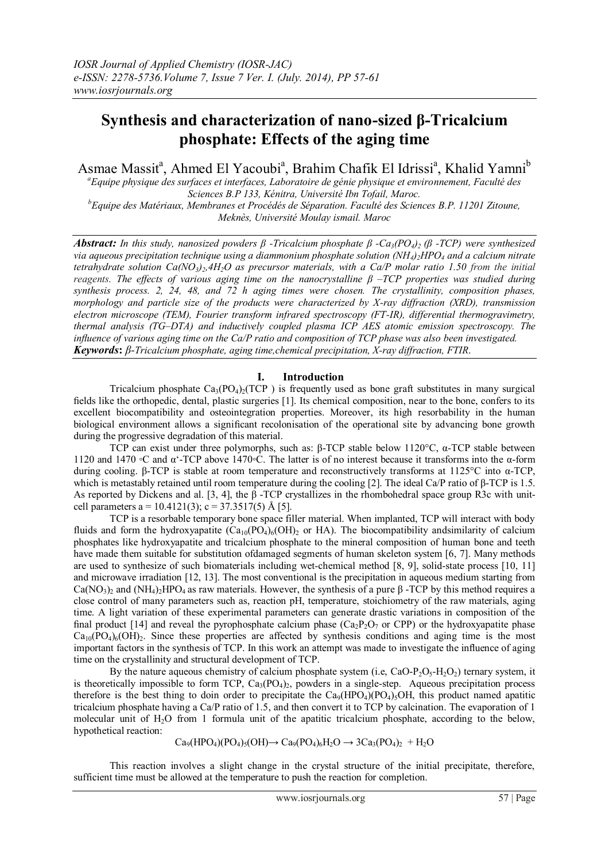# **Synthesis and characterization of nano-sized β-Tricalcium phosphate: Effects of the aging time**

Asmae Massit<sup>a</sup>, Ahmed El Yacoubi<sup>a</sup>, Brahim Chafik El Idrissi<sup>a</sup>, Khalid Yamni<sup>b</sup>

*<sup>a</sup>Equipe physique des surfaces et interfaces, Laboratoire de génie physique et environnement, Faculté des Sciences B.P 133, Kénitra, Université Ibn Tofail, Maroc. <sup>b</sup>Equipe des Matériaux, Membranes et Procédés de Séparation. Faculté des Sciences B.P. 11201 Zitoune, Meknès, Université Moulay ismail. Maroc*

*Abstract: In this study, nanosized powders β -Tricalcium phosphate β -Ca3(PO4)2 (β -TCP) were synthesized via aqueous precipitation technique using a diammonium phosphate solution (NH4)2HPO<sup>4</sup> and a calcium nitrate tetrahydrate solution Ca(NO3)2,4H2O as precursor materials, with a Ca/P molar ratio 1.50 from the initial reagents. The effects of various aging time on the nanocrystalline β –TCP properties was studied during synthesis process. 2, 24, 48, and 72 h aging times were chosen. The crystallinity, composition phases, morphology and particle size of the products were characterized by X-ray diffraction (XRD), transmission electron microscope (TEM), Fourier transform infrared spectroscopy (FT-IR), differential thermogravimetry, thermal analysis (TG–DTA) and inductively coupled plasma ICP AES atomic emission spectroscopy. The influence of various aging time on the Ca/P ratio and composition of TCP phase was also been investigated. Keywords***:** *β-Tricalcium phosphate, aging time,chemical precipitation, X-ray diffraction, FTIR*.

### **I. Introduction**

Tricalcium phosphate  $Ca_3(PO_4)$  (TCP) is frequently used as bone graft substitutes in many surgical fields like the orthopedic, dental, plastic surgeries [1]. Its chemical composition, near to the bone, confers to its excellent biocompatibility and osteointegration properties. Moreover, its high resorbability in the human biological environment allows a significant recolonisation of the operational site by advancing bone growth during the progressive degradation of this material.

TCP can exist under three polymorphs, such as: β-TCP stable below 1120°C, α-TCP stable between 1120 and 1470 ◦C and α'-TCP above 1470◦C. The latter is of no interest because it transforms into the α-form during cooling. β-TCP is stable at room temperature and reconstructively transforms at 1125°C into α-TCP, which is metastably retained until room temperature during the cooling [2]. The ideal Ca/P ratio of β-TCP is 1.5. As reported by Dickens and al. [3, 4], the β -TCP crystallizes in the rhombohedral space group R3c with unitcell parameters a = 10.4121(3); c = 37.3517(5) Å [5].

TCP is a resorbable temporary bone space filler material. When implanted, TCP will interact with body fluids and form the hydroxyapatite  $(Ca_{10}(PO_4)_6(OH)_2$  or HA). The biocompatibility and similarity of calcium phosphates like hydroxyapatite and tricalcium phosphate to the mineral composition of human bone and teeth have made them suitable for substitution ofdamaged segments of human skeleton system [6, 7]. Many methods are used to synthesize of such biomaterials including wet-chemical method [8, 9], solid-state process [10, 11] and microwave irradiation [12, 13]. The most conventional is the precipitation in aqueous medium starting from  $Ca(NO<sub>3</sub>)<sub>2</sub>$  and  $(NH<sub>4</sub>)<sub>2</sub>HPO<sub>4</sub>$  as raw materials. However, the synthesis of a pure β -TCP by this method requires a close control of many parameters such as, reaction pH, temperature, stoichiometry of the raw materials, aging time. A light variation of these experimental parameters can generate drastic variations in composition of the final product [14] and reveal the pyrophosphate calcium phase  $(Ca_2P_2O_7$  or CPP) or the hydroxyapatite phase  $Ca_{10}(PO_4)_6(OH)_2$ . Since these properties are affected by synthesis conditions and aging time is the most important factors in the synthesis of TCP. In this work an attempt was made to investigate the influence of aging time on the crystallinity and structural development of TCP.

By the nature aqueous chemistry of calcium phosphate system (i.e, CaO-P<sub>2</sub>O<sub>5</sub>-H<sub>2</sub>O<sub>2</sub>) ternary system, it is theoretically impossible to form TCP,  $Ca_3(PO_4)$ , powders in a single-step. Aqueous precipitation process therefore is the best thing to doin order to precipitate the  $Ca_9(HPO_4)CO_4$ <sub>5</sub>OH, this product named apatitic tricalcium phosphate having a Ca/P ratio of 1.5, and then convert it to TCP by calcination. The evaporation of 1 molecular unit of H2O from 1 formula unit of the apatitic tricalcium phosphate, according to the below, hypothetical reaction:

$$
Ca_9(HPO_4)(PO_4)_5(OH) \rightarrow Ca_9(PO_4)_6H_2O \rightarrow 3Ca_3(PO_4)_2 + H_2O
$$

This reaction involves a slight change in the crystal structure of the initial precipitate, therefore, sufficient time must be allowed at the temperature to push the reaction for completion.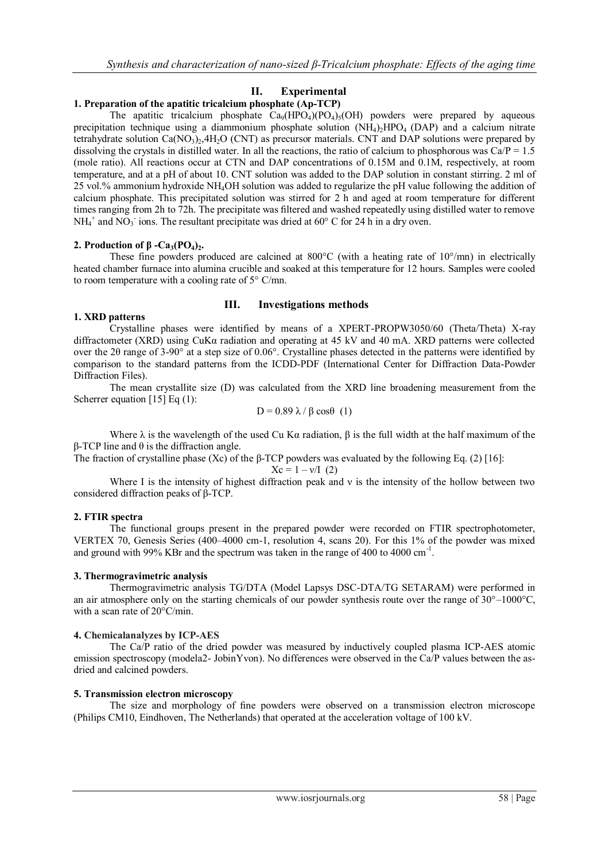# **II. Experimental**

### **1. Preparation of the apatitic tricalcium phosphate (Ap-TCP)**

The apatitic tricalcium phosphate  $Ca_9(HPO_4)(PO_4)_5(OH)$  powders were prepared by aqueous precipitation technique using a diammonium phosphate solution  $(NH<sub>4</sub>)<sub>2</sub>HPO<sub>4</sub>$  (DAP) and a calcium nitrate tetrahydrate solution  $Ca(NO<sub>3</sub>)<sub>2</sub>, 4H<sub>2</sub>O$  (CNT) as precursor materials. CNT and DAP solutions were prepared by dissolving the crystals in distilled water. In all the reactions, the ratio of calcium to phosphorous was  $Ca/P = 1.5$ (mole ratio). All reactions occur at CTN and DAP concentrations of 0.15M and 0.1M, respectively, at room temperature, and at a pH of about 10. CNT solution was added to the DAP solution in constant stirring. 2 ml of 25 vol.% ammonium hydroxide NH4OH solution was added to regularize the pH value following the addition of calcium phosphate. This precipitated solution was stirred for 2 h and aged at room temperature for different times ranging from 2h to 72h. The precipitate was filtered and washed repeatedly using distilled water to remove  $NH_4^+$  and  $NO_3^-$  ions. The resultant precipitate was dried at 60 $\degree$  C for 24 h in a dry oven.

#### **2. Production of β -Ca3(PO4)2.**

These fine powders produced are calcined at  $800^{\circ}$ C (with a heating rate of  $10^{\circ}/$ mn) in electrically heated chamber furnace into alumina crucible and soaked at this temperature for 12 hours. Samples were cooled to room temperature with a cooling rate of 5° C/mn.

#### **III. Investigations methods**

#### **1. XRD patterns**

Crystalline phases were identified by means of a XPERT-PROPW3050/60 (Theta/Theta) X-ray diffractometer (XRD) using CuKα radiation and operating at 45 kV and 40 mA. XRD patterns were collected over the 2θ range of 3-90° at a step size of 0.06°. Crystalline phases detected in the patterns were identified by comparison to the standard patterns from the ICDD-PDF (International Center for Diffraction Data-Powder Diffraction Files).

The mean crystallite size (D) was calculated from the XRD line broadening measurement from the Scherrer equation [15] Eq (1):

$$
D = 0.89 \lambda / \beta \cos\theta (1)
$$

Where  $\lambda$  is the wavelength of the used Cu K $\alpha$  radiation,  $\beta$  is the full width at the half maximum of the β-TCP line and θ is the diffraction angle.

The fraction of crystalline phase (Xc) of the β-TCP powders was evaluated by the following Eq. (2) [16]:

$$
Xc = 1 - v/I
$$
 (2)

Where I is the intensity of highest diffraction peak and  $\nu$  is the intensity of the hollow between two considered diffraction peaks of β-TCP.

#### **2. FTIR spectra**

The functional groups present in the prepared powder were recorded on FTIR spectrophotometer, VERTEX 70, Genesis Series (400–4000 cm-1, resolution 4, scans 20). For this 1% of the powder was mixed and ground with 99% KBr and the spectrum was taken in the range of 400 to 4000 cm<sup>-1</sup>.

#### **3. Thermogravimetric analysis**

Thermogravimetric analysis TG/DTA (Model Lapsys DSC-DTA/TG SETARAM) were performed in an air atmosphere only on the starting chemicals of our powder synthesis route over the range of 30°–1000°C, with a scan rate of 20°C/min.

#### **4. Chemicalanalyzes by ICP-AES**

The Ca/P ratio of the dried powder was measured by inductively coupled plasma ICP-AES atomic emission spectroscopy (modela2- JobinYvon). No differences were observed in the Ca/P values between the asdried and calcined powders.

#### **5. Transmission electron microscopy**

The size and morphology of fine powders were observed on a transmission electron microscope (Philips CM10, Eindhoven, The Netherlands) that operated at the acceleration voltage of 100 kV.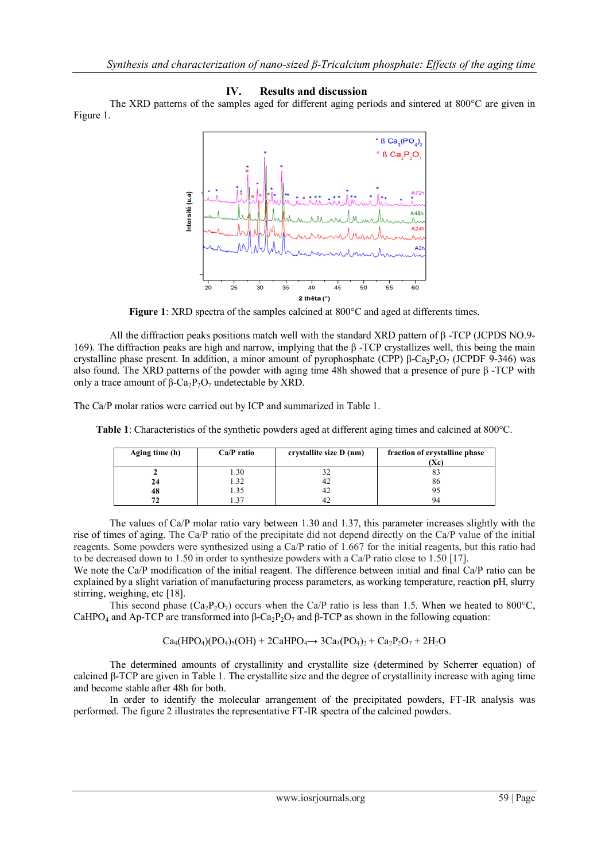## **IV. Results and discussion**

The XRD patterns of the samples aged for different aging periods and sintered at 800°C are given in Figure 1.



**Figure 1**: XRD spectra of the samples calcined at 800°C and aged at differents times.

All the diffraction peaks positions match well with the standard XRD pattern of β -TCP (JCPDS NO.9-169). The diffraction peaks are high and narrow, implying that the β -TCP crystallizes well, this being the main crystalline phase present. In addition, a minor amount of pyrophosphate (CPP)  $\beta$ -Ca<sub>2</sub>P<sub>2</sub>O<sub>7</sub> (JCPDF 9-346) was also found. The XRD patterns of the powder with aging time 48h showed that a presence of pure β -TCP with only a trace amount of β-Ca<sub>2</sub>P<sub>2</sub>O<sub>7</sub> undetectable by XRD.

The Ca/P molar ratios were carried out by ICP and summarized in Table 1.

**Table 1**: Characteristics of the synthetic powders aged at different aging times and calcined at 800°C.

| Aging time (h) | $Ca/P$ ratio | crystallite size D (nm) | fraction of crystalline phase<br>(Xc) |
|----------------|--------------|-------------------------|---------------------------------------|
|                | 1.30         |                         |                                       |
| 24             | 1.32         | 42                      | 86                                    |
| 48             | l 35         | 42                      |                                       |
| 72             |              |                         | 94                                    |

The values of Ca/P molar ratio vary between 1.30 and 1.37, this parameter increases slightly with the rise of times of aging. The Ca/P ratio of the precipitate did not depend directly on the Ca/P value of the initial reagents. Some powders were synthesized using a Ca/P ratio of 1.667 for the initial reagents, but this ratio had to be decreased down to 1.50 in order to synthesize powders with a Ca/P ratio close to 1.50 [17].

We note the Ca/P modification of the initial reagent. The difference between initial and final Ca/P ratio can be explained by a slight variation of manufacturing process parameters, as working temperature, reaction pH, slurry stirring, weighing, etc [18].

This second phase  $(Ca_2P_2O_7)$  occurs when the Ca/P ratio is less than 1.5. When we heated to 800°C, CaHPO<sub>4</sub> and Ap-TCP are transformed into β-Ca<sub>2</sub>P<sub>2</sub>O<sub>7</sub> and β-TCP as shown in the following equation:

 $Ca_9(HPO_4)(PO_4)_5(OH) + 2CaHPO_4 \rightarrow 3Ca_3(PO_4)_2 + Ca_2P_2O_7 + 2H_2O$ 

The determined amounts of crystallinity and crystallite size (determined by Scherrer equation) of calcined β-TCP are given in Table 1. The crystallite size and the degree of crystallinity increase with aging time and become stable after 48h for both.

In order to identify the molecular arrangement of the precipitated powders, FT-IR analysis was performed. The figure 2 illustrates the representative FT-IR spectra of the calcined powders.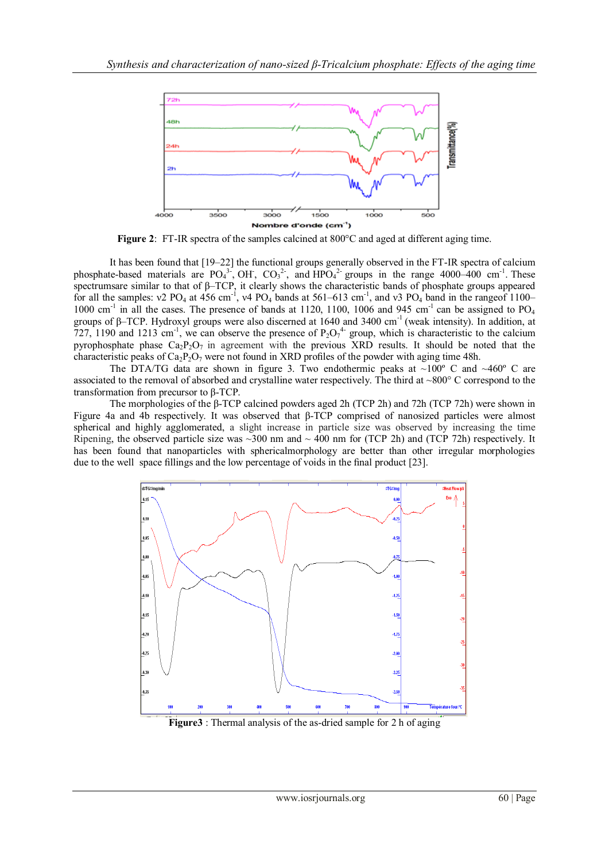

**Figure 2**: FT-IR spectra of the samples calcined at 800°C and aged at different aging time.

It has been found that [19–22] the functional groups generally observed in the FT-IR spectra of calcium phosphate-based materials are  $PO_4^{3.}$ , OH,  $CO_3^{2.}$ , and  $HPO_4^{2.}$  groups in the range 4000–400 cm<sup>-1</sup>. These spectrumsare similar to that of β–TCP, it clearly shows the characteristic bands of phosphate groups appeared for all the samples:  $v^2$  PO<sub>4</sub> at 456 cm<sup>-1</sup>, v4 PO<sub>4</sub> bands at 561–613 cm<sup>-1</sup>, and v3 PO<sub>4</sub> band in the rangeof 1100– 1000 cm<sup>-1</sup> in all the cases. The presence of bands at 1120, 1100, 1006 and 945 cm<sup>-1</sup> can be assigned to PO<sub>4</sub> groups of β–TCP. Hydroxyl groups were also discerned at 1640 and 3400 cm-1 (weak intensity). In addition, at 727, 1190 and 1213 cm<sup>-1</sup>, we can observe the presence of  $P_2O_7^{4}$  group, which is characteristic to the calcium pyrophosphate phase  $Ca_2P_2O_7$  in agreement with the previous XRD results. It should be noted that the characteristic peaks of  $Ca_2P_2O_7$  were not found in XRD profiles of the powder with aging time 48h.

The DTA/TG data are shown in figure 3. Two endothermic peaks at  $\sim 100^{\circ}$  C and  $\sim 460^{\circ}$  C are associated to the removal of absorbed and crystalline water respectively. The third at ~800° C correspond to the transformation from precursor to β-TCP.

The morphologies of the β-TCP calcined powders aged 2h (TCP 2h) and 72h (TCP 72h) were shown in Figure 4a and 4b respectively. It was observed that β-TCP comprised of nanosized particles were almost spherical and highly agglomerated, a slight increase in particle size was observed by increasing the time Ripening, the observed particle size was  $\sim$ 300 nm and  $\sim$  400 nm for (TCP 2h) and (TCP 72h) respectively. It has been found that nanoparticles with sphericalmorphology are better than other irregular morphologies due to the well space fillings and the low percentage of voids in the final product [23].



**Figure3** : Thermal analysis of the as-dried sample for 2 h of aging